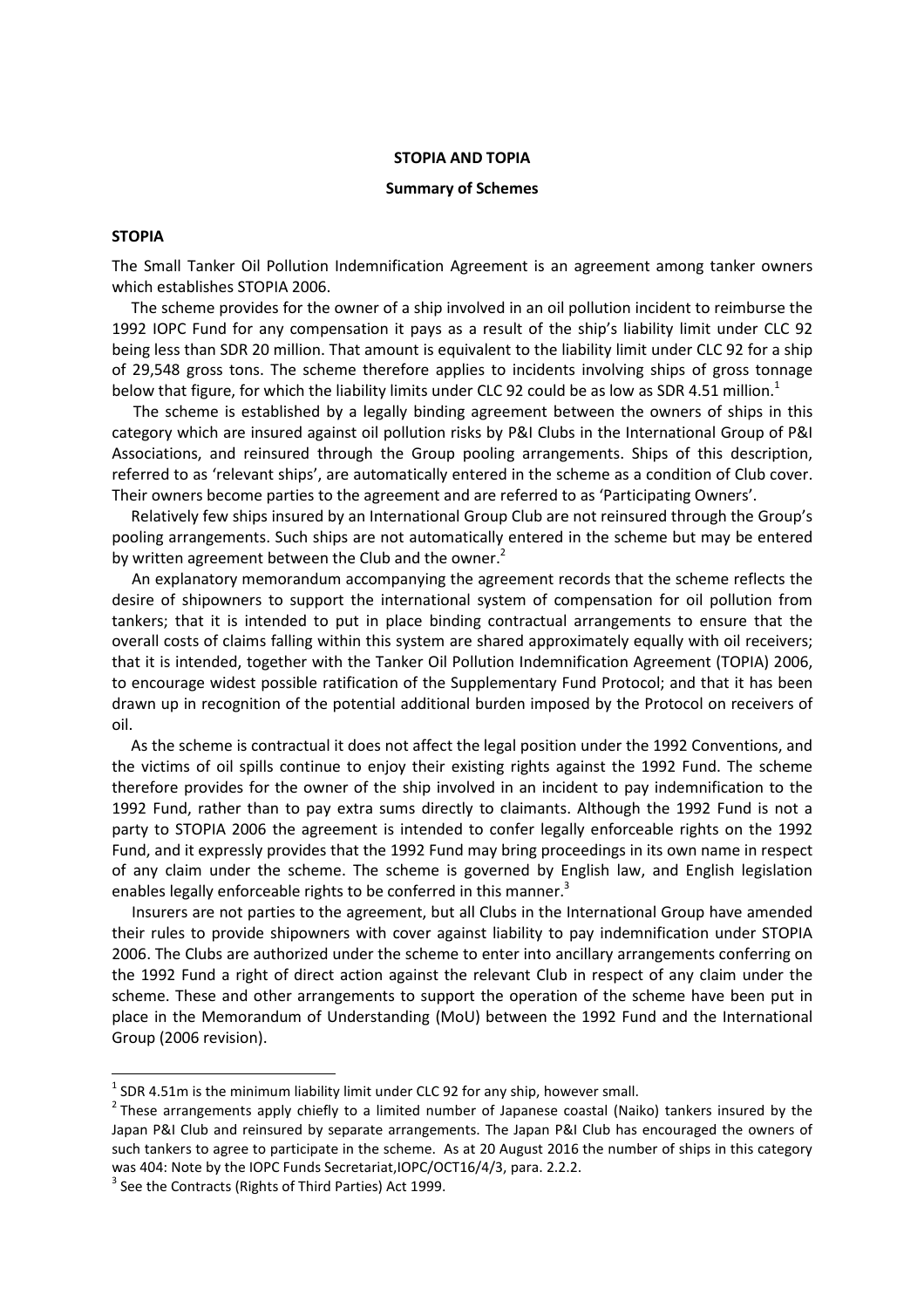#### STOPIA AND TOPIA

#### Summary of Schemes

# STOPIA

The Small Tanker Oil Pollution Indemnification Agreement is an agreement among tanker owners which establishes STOPIA 2006.

 The scheme provides for the owner of a ship involved in an oil pollution incident to reimburse the 1992 IOPC Fund for any compensation it pays as a result of the ship's liability limit under CLC 92 being less than SDR 20 million. That amount is equivalent to the liability limit under CLC 92 for a ship of 29,548 gross tons. The scheme therefore applies to incidents involving ships of gross tonnage below that figure, for which the liability limits under CLC 92 could be as low as SDR 4.51 million.<sup>1</sup>

 The scheme is established by a legally binding agreement between the owners of ships in this category which are insured against oil pollution risks by P&I Clubs in the International Group of P&I Associations, and reinsured through the Group pooling arrangements. Ships of this description, referred to as 'relevant ships', are automatically entered in the scheme as a condition of Club cover. Their owners become parties to the agreement and are referred to as 'Participating Owners'.

 Relatively few ships insured by an International Group Club are not reinsured through the Group's pooling arrangements. Such ships are not automatically entered in the scheme but may be entered by written agreement between the Club and the owner.<sup>2</sup>

 An explanatory memorandum accompanying the agreement records that the scheme reflects the desire of shipowners to support the international system of compensation for oil pollution from tankers; that it is intended to put in place binding contractual arrangements to ensure that the overall costs of claims falling within this system are shared approximately equally with oil receivers; that it is intended, together with the Tanker Oil Pollution Indemnification Agreement (TOPIA) 2006, to encourage widest possible ratification of the Supplementary Fund Protocol; and that it has been drawn up in recognition of the potential additional burden imposed by the Protocol on receivers of oil.

 As the scheme is contractual it does not affect the legal position under the 1992 Conventions, and the victims of oil spills continue to enjoy their existing rights against the 1992 Fund. The scheme therefore provides for the owner of the ship involved in an incident to pay indemnification to the 1992 Fund, rather than to pay extra sums directly to claimants. Although the 1992 Fund is not a party to STOPIA 2006 the agreement is intended to confer legally enforceable rights on the 1992 Fund, and it expressly provides that the 1992 Fund may bring proceedings in its own name in respect of any claim under the scheme. The scheme is governed by English law, and English legislation enables legally enforceable rights to be conferred in this manner.<sup>3</sup>

 Insurers are not parties to the agreement, but all Clubs in the International Group have amended their rules to provide shipowners with cover against liability to pay indemnification under STOPIA 2006. The Clubs are authorized under the scheme to enter into ancillary arrangements conferring on the 1992 Fund a right of direct action against the relevant Club in respect of any claim under the scheme. These and other arrangements to support the operation of the scheme have been put in place in the Memorandum of Understanding (MoU) between the 1992 Fund and the International Group (2006 revision).

 $\overline{\phantom{0}}$ 

 $<sup>1</sup>$  SDR 4.51m is the minimum liability limit under CLC 92 for any ship, however small.</sup>

<sup>&</sup>lt;sup>2</sup> These arrangements apply chiefly to a limited number of Japanese coastal (Naiko) tankers insured by the Japan P&I Club and reinsured by separate arrangements. The Japan P&I Club has encouraged the owners of such tankers to agree to participate in the scheme. As at 20 August 2016 the number of ships in this category was 404: Note by the IOPC Funds Secretariat,IOPC/OCT16/4/3, para. 2.2.2.

 $3$  See the Contracts (Rights of Third Parties) Act 1999.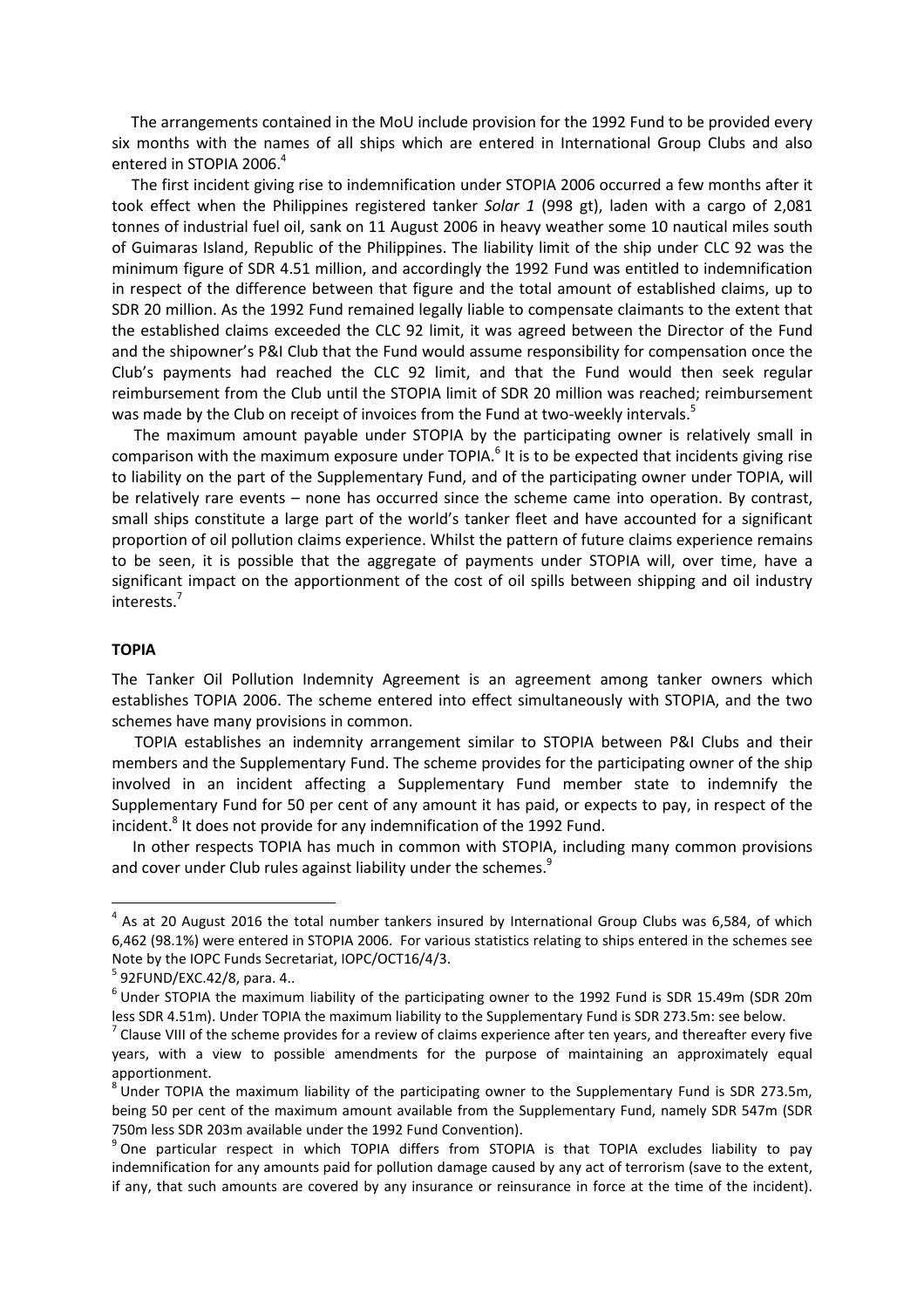The arrangements contained in the MoU include provision for the 1992 Fund to be provided every six months with the names of all ships which are entered in International Group Clubs and also entered in STOPIA 2006.<sup>4</sup>

 The first incident giving rise to indemnification under STOPIA 2006 occurred a few months after it took effect when the Philippines registered tanker Solar 1 (998 gt), laden with a cargo of 2,081 tonnes of industrial fuel oil, sank on 11 August 2006 in heavy weather some 10 nautical miles south of Guimaras Island, Republic of the Philippines. The liability limit of the ship under CLC 92 was the minimum figure of SDR 4.51 million, and accordingly the 1992 Fund was entitled to indemnification in respect of the difference between that figure and the total amount of established claims, up to SDR 20 million. As the 1992 Fund remained legally liable to compensate claimants to the extent that the established claims exceeded the CLC 92 limit, it was agreed between the Director of the Fund and the shipowner's P&I Club that the Fund would assume responsibility for compensation once the Club's payments had reached the CLC 92 limit, and that the Fund would then seek regular reimbursement from the Club until the STOPIA limit of SDR 20 million was reached; reimbursement was made by the Club on receipt of invoices from the Fund at two-weekly intervals.<sup>5</sup>

 The maximum amount payable under STOPIA by the participating owner is relatively small in comparison with the maximum exposure under TOPIA.<sup>6</sup> It is to be expected that incidents giving rise to liability on the part of the Supplementary Fund, and of the participating owner under TOPIA, will be relatively rare events – none has occurred since the scheme came into operation. By contrast, small ships constitute a large part of the world's tanker fleet and have accounted for a significant proportion of oil pollution claims experience. Whilst the pattern of future claims experience remains to be seen, it is possible that the aggregate of payments under STOPIA will, over time, have a significant impact on the apportionment of the cost of oil spills between shipping and oil industry interests.<sup>7</sup>

## TOPIA

 $\overline{\phantom{0}}$ 

The Tanker Oil Pollution Indemnity Agreement is an agreement among tanker owners which establishes TOPIA 2006. The scheme entered into effect simultaneously with STOPIA, and the two schemes have many provisions in common.

 TOPIA establishes an indemnity arrangement similar to STOPIA between P&I Clubs and their members and the Supplementary Fund. The scheme provides for the participating owner of the ship involved in an incident affecting a Supplementary Fund member state to indemnify the Supplementary Fund for 50 per cent of any amount it has paid, or expects to pay, in respect of the incident.<sup>8</sup> It does not provide for any indemnification of the 1992 Fund.

 In other respects TOPIA has much in common with STOPIA, including many common provisions and cover under Club rules against liability under the schemes.<sup>9</sup>

 $<sup>4</sup>$  As at 20 August 2016 the total number tankers insured by International Group Clubs was 6,584, of which</sup> 6,462 (98.1%) were entered in STOPIA 2006. For various statistics relating to ships entered in the schemes see Note by the IOPC Funds Secretariat, IOPC/OCT16/4/3.

<sup>&</sup>lt;sup>5</sup> 92FUND/EXC.42/8, para. 4..

 $^6$  Under STOPIA the maximum liability of the participating owner to the 1992 Fund is SDR 15.49m (SDR 20m less SDR 4.51m). Under TOPIA the maximum liability to the Supplementary Fund is SDR 273.5m: see below.

 $^7$  Clause VIII of the scheme provides for a review of claims experience after ten years, and thereafter every five years, with a view to possible amendments for the purpose of maintaining an approximately equal apportionment.<br><sup>8</sup> Under TOPIA the maximum liability of the participating owner to the Supplementary Fund is SDR 273.5m,

being 50 per cent of the maximum amount available from the Supplementary Fund, namely SDR 547m (SDR 750m less SDR 203m available under the 1992 Fund Convention).

<sup>&</sup>lt;sup>9</sup> One particular respect in which TOPIA differs from STOPIA is that TOPIA excludes liability to pay indemnification for any amounts paid for pollution damage caused by any act of terrorism (save to the extent, if any, that such amounts are covered by any insurance or reinsurance in force at the time of the incident).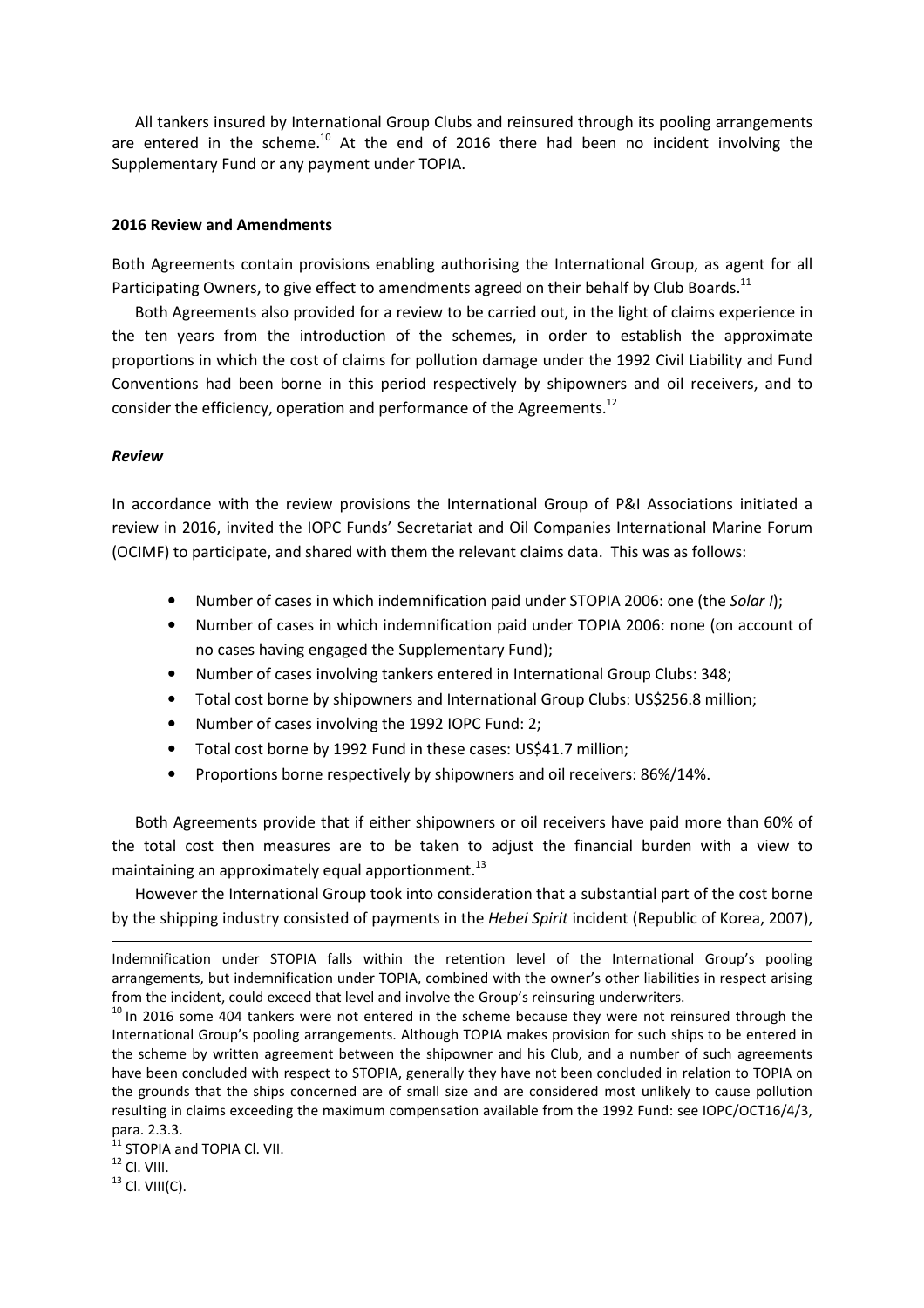All tankers insured by International Group Clubs and reinsured through its pooling arrangements are entered in the scheme.<sup>10</sup> At the end of 2016 there had been no incident involving the Supplementary Fund or any payment under TOPIA.

# 2016 Review and Amendments

Both Agreements contain provisions enabling authorising the International Group, as agent for all Participating Owners, to give effect to amendments agreed on their behalf by Club Boards.<sup>11</sup>

 Both Agreements also provided for a review to be carried out, in the light of claims experience in the ten years from the introduction of the schemes, in order to establish the approximate proportions in which the cost of claims for pollution damage under the 1992 Civil Liability and Fund Conventions had been borne in this period respectively by shipowners and oil receivers, and to consider the efficiency, operation and performance of the Agreements.<sup>12</sup>

#### Review

In accordance with the review provisions the International Group of P&I Associations initiated a review in 2016, invited the IOPC Funds' Secretariat and Oil Companies International Marine Forum (OCIMF) to participate, and shared with them the relevant claims data. This was as follows:

- Number of cases in which indemnification paid under STOPIA 2006: one (the Solar I);
- Number of cases in which indemnification paid under TOPIA 2006: none (on account of no cases having engaged the Supplementary Fund);
- Number of cases involving tankers entered in International Group Clubs: 348;
- Total cost borne by shipowners and International Group Clubs: US\$256.8 million;
- Number of cases involving the 1992 IOPC Fund: 2;
- Total cost borne by 1992 Fund in these cases: US\$41.7 million;
- Proportions borne respectively by shipowners and oil receivers: 86%/14%.

 Both Agreements provide that if either shipowners or oil receivers have paid more than 60% of the total cost then measures are to be taken to adjust the financial burden with a view to maintaining an approximately equal apportionment.<sup>13</sup>

 However the International Group took into consideration that a substantial part of the cost borne by the shipping industry consisted of payments in the *Hebei Spirit* incident (Republic of Korea, 2007),

l

Indemnification under STOPIA falls within the retention level of the International Group's pooling arrangements, but indemnification under TOPIA, combined with the owner's other liabilities in respect arising from the incident, could exceed that level and involve the Group's reinsuring underwriters.

 $10$  In 2016 some 404 tankers were not entered in the scheme because they were not reinsured through the International Group's pooling arrangements. Although TOPIA makes provision for such ships to be entered in the scheme by written agreement between the shipowner and his Club, and a number of such agreements have been concluded with respect to STOPIA, generally they have not been concluded in relation to TOPIA on the grounds that the ships concerned are of small size and are considered most unlikely to cause pollution resulting in claims exceeding the maximum compensation available from the 1992 Fund: see IOPC/OCT16/4/3, para. 2.3.3.

<sup>&</sup>lt;sup>11</sup> STOPIA and TOPIA Cl. VII.

 $^{12}$  Cl. VIII.

 $13$  Cl. VIII(C).